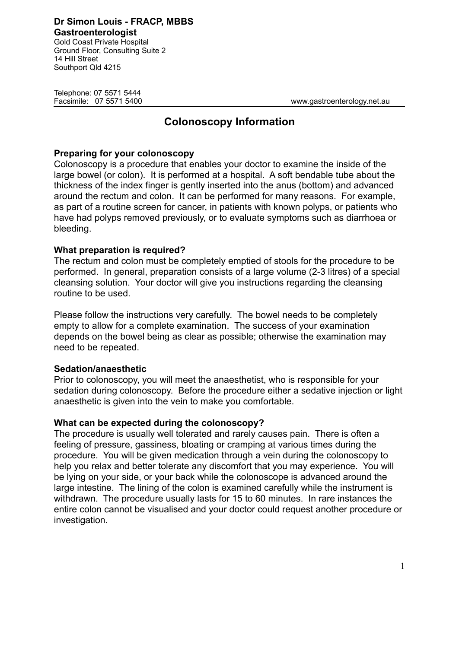**Dr Simon Louis - FRACP, MBBS Gastroenterologist** Gold Coast Private Hospital Ground Floor, Consulting Suite 2

Telephone: 07 5571 5444

14 Hill Street Southport Qld 4215

Facsimile: 07 5571 5400 www.gastroenterology.net.au

# **Colonoscopy Information**

### **Preparing for your colonoscopy**

Colonoscopy is a procedure that enables your doctor to examine the inside of the large bowel (or colon). It is performed at a hospital. A soft bendable tube about the thickness of the index finger is gently inserted into the anus (bottom) and advanced around the rectum and colon. It can be performed for many reasons. For example, as part of a routine screen for cancer, in patients with known polyps, or patients who have had polyps removed previously, or to evaluate symptoms such as diarrhoea or bleeding.

### **What preparation is required?**

The rectum and colon must be completely emptied of stools for the procedure to be performed. In general, preparation consists of a large volume (2-3 litres) of a special cleansing solution. Your doctor will give you instructions regarding the cleansing routine to be used.

Please follow the instructions very carefully. The bowel needs to be completely empty to allow for a complete examination. The success of your examination depends on the bowel being as clear as possible; otherwise the examination may need to be repeated.

#### **Sedation/anaesthetic**

Prior to colonoscopy, you will meet the anaesthetist, who is responsible for your sedation during colonoscopy. Before the procedure either a sedative injection or light anaesthetic is given into the vein to make you comfortable.

#### **What can be expected during the colonoscopy?**

The procedure is usually well tolerated and rarely causes pain. There is often a feeling of pressure, gassiness, bloating or cramping at various times during the procedure. You will be given medication through a vein during the colonoscopy to help you relax and better tolerate any discomfort that you may experience. You will be lying on your side, or your back while the colonoscope is advanced around the large intestine. The lining of the colon is examined carefully while the instrument is withdrawn. The procedure usually lasts for 15 to 60 minutes. In rare instances the entire colon cannot be visualised and your doctor could request another procedure or investigation.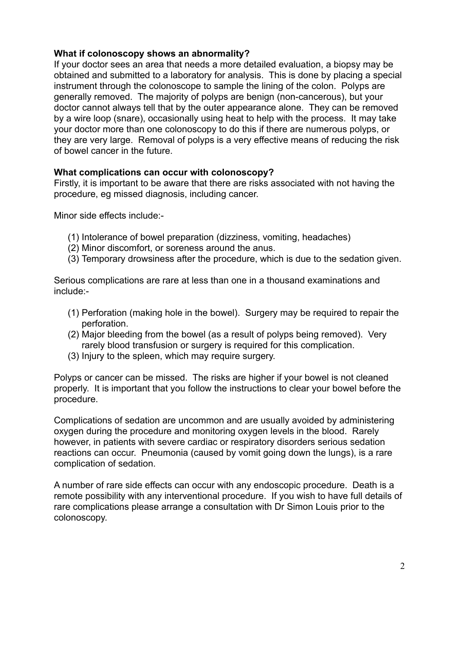# **What if colonoscopy shows an abnormality?**

If your doctor sees an area that needs a more detailed evaluation, a biopsy may be obtained and submitted to a laboratory for analysis. This is done by placing a special instrument through the colonoscope to sample the lining of the colon. Polyps are generally removed. The majority of polyps are benign (non-cancerous), but your doctor cannot always tell that by the outer appearance alone. They can be removed by a wire loop (snare), occasionally using heat to help with the process. It may take your doctor more than one colonoscopy to do this if there are numerous polyps, or they are very large. Removal of polyps is a very effective means of reducing the risk of bowel cancer in the future.

### **What complications can occur with colonoscopy?**

Firstly, it is important to be aware that there are risks associated with not having the procedure, eg missed diagnosis, including cancer.

Minor side effects include:-

- (1) Intolerance of bowel preparation (dizziness, vomiting, headaches)
- (2) Minor discomfort, or soreness around the anus.
- (3) Temporary drowsiness after the procedure, which is due to the sedation given.

Serious complications are rare at less than one in a thousand examinations and include:-

- (1) Perforation (making hole in the bowel). Surgery may be required to repair the perforation.
- (2) Major bleeding from the bowel (as a result of polyps being removed). Very rarely blood transfusion or surgery is required for this complication.
- (3) Injury to the spleen, which may require surgery.

Polyps or cancer can be missed. The risks are higher if your bowel is not cleaned properly. It is important that you follow the instructions to clear your bowel before the procedure.

Complications of sedation are uncommon and are usually avoided by administering oxygen during the procedure and monitoring oxygen levels in the blood. Rarely however, in patients with severe cardiac or respiratory disorders serious sedation reactions can occur. Pneumonia (caused by vomit going down the lungs), is a rare complication of sedation.

A number of rare side effects can occur with any endoscopic procedure. Death is a remote possibility with any interventional procedure. If you wish to have full details of rare complications please arrange a consultation with Dr Simon Louis prior to the colonoscopy.